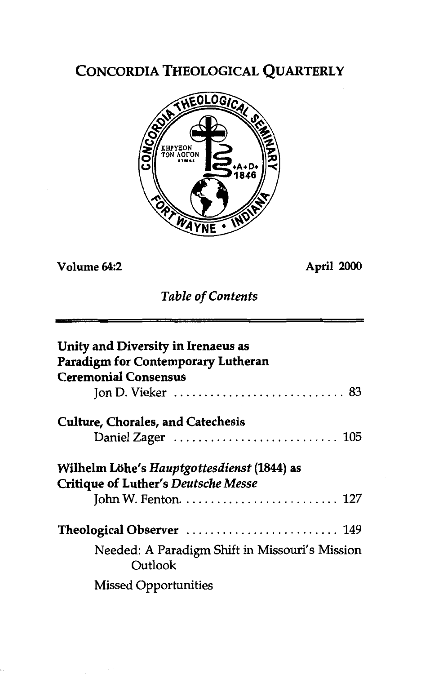## CONCORDIA THEOLOGICAL QUARTERLY



**Volume 64:2 April 2000** 

*Table of Contents* 

| Unity and Diversity in Irenaeus as<br>Paradigm for Contemporary Lutheran<br><b>Ceremonial Consensus</b> |
|---------------------------------------------------------------------------------------------------------|
| Jon D. Vieker $\ldots \ldots \ldots \ldots \ldots \ldots \ldots \ldots \ldots$ 83                       |
|                                                                                                         |
| <b>Culture, Chorales, and Catechesis</b>                                                                |
| Daniel Zager $\ldots \ldots \ldots \ldots \ldots \ldots \ldots \ldots \ldots$ 105                       |
| Wilhelm Löhe's Hauptgottesdienst (1844) as<br><b>Critique of Luther's Deutsche Messe</b>                |
| Theological Observer  149                                                                               |
| Needed: A Paradigm Shift in Missouri's Mission<br>Outlook                                               |
| <b>Missed Opportunities</b>                                                                             |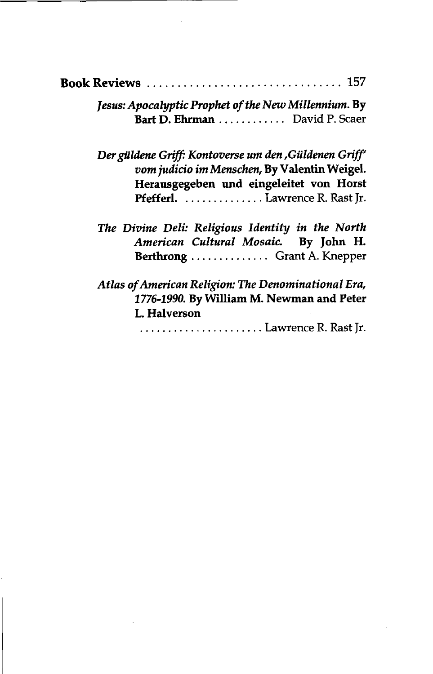|  | <b>Book Reviews</b> 157 |  |
|--|-------------------------|--|
|--|-------------------------|--|

| Jesus: Apocalyptic Prophet of the New Millennium. By |  |
|------------------------------------------------------|--|
| Bart D. Ehrman  David P. Scaer                       |  |

Der güldene Griff: Kontoverse um den ,Güldenen Griff' *vom judicio im Menschen,* **By Valentin Weigel. Herausgegeben und eingeleitet von Horst Pfefferl.** .............. Lawrence **R.** Rast Jr.

*Atlas of American Religion: The Denominational Era,*  **1776-1990. By William M. Newman and Peter L. Halverson** 

....................... Lawrence R. Rast Jr.

*The Divine Deli: Religious Identity in the North American Cultural Mosaic.* **By John H. Berthrong** .............. Grant **A.** Knepper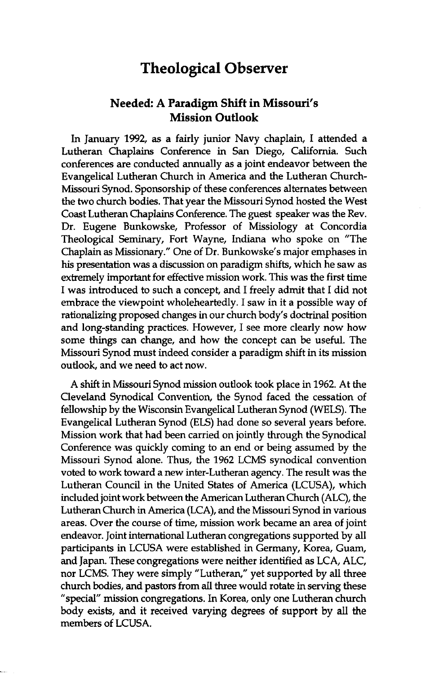## **Theological Observer**

## **Needed: A Paradigm Shift in Missouri's Mission Outlook**

In January 1992, as a fairly junior Navy chaplain, I attended a Lutheran Chaplains Conference in San Diego, California. Such conferences are conducted annually as a joint endeavor between the Evangelical Lutheran Church in America and the Lutheran Church-Missouri Synod. Sponsorship of these conferences alternates between the two church bodies. That year the Missouri Synod hosted the West Coast Lutheran Chaplains Conference. The guest speaker was the Rev. Dr. Eugene Bunkowske, Professor of Missiology at Concordia Theological Seminary, Fort Wayne, Indiana who spoke on "The Chaplain as Missionary." One of Dr. Bunkowske's major emphases in **his** presentation was a discussion on paradigm shifts, which he saw as extremely important for effective mission work. This was the first time I was introduced to such a concept, and I freely admit that I did not embrace the viewpoint wholeheartedly. I saw in it a possible way of rationalizing proposed changes in our church body's doctrinal position and long-standing practices. However, I see more clearly now how some things can change, and how the concept can be useful. The Missouri Synod must indeed consider a paradigm shift in its mission outlook, and we need to act now.

A shift in Missouri Synod mission outlook took place in 1962. At the Cleveland Synodical Convention, the Synod faced the cessation of fellowship by the Wisconsin Evangelical Lutheran Synod (WELS). The Evangelical Lutheran Synod (ELS) had done so several years before. Mission work that had been carried on jointly through the Synodical Conference was quickly coming to an end or being assumed by the Missouri Synod alone. Thus, the 1962 LCMS synodical convention voted to work toward a new inter-Lutheran agency. The result was the Lutheran Council in the United States of America (LCUSA), which included joint work between the American Lutheran Church (ALC), the Lutheran Church in America (LCA), and the Missouri Synod in various areas. Over the course of time, mission work became an area of joint endeavor. Joint international Lutheran congregations supported by all participants in LCUSA were established in Germany, Korea, Guam, and Japan. These congregations were neither identified as LCA, ALC, nor LCMS. They were simply "Lutheran," yet supported by all three church bodies, and pastors from aIl three would rotate in serving these "special" mission congregations. In Korea, only one Lutheran church body exists, and it received varying degrees of support by **all** the members of LCUSA.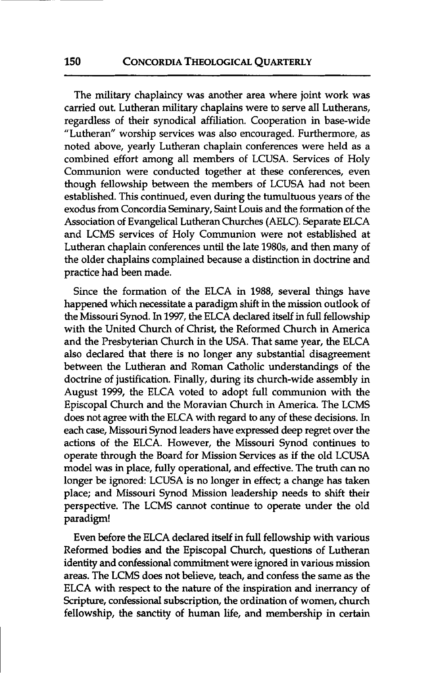The military chaplaincy was another area where joint work was carried out. Lutheran military chaplains were to serve all Lutherans, regardless of their synodical affiliation. Cooperation in base-wide "Lutheran" worship services was also encouraged. Furthermore, as noted above, yearly Lutheran chaplain conferences were held as a combined effort among **all** members of LCUSA. Services of Holy Communion were conducted together at these conferences, even though fellowship between the members of LCUSA had not been established. This continued, even during the tumultuous years of the exodus from Concordia Seminary, Saint Louis and the formation of the Association of Evangelical Lutheran Churches (AELC). Separate ELCA and LCMS services of Holy Communion were not established at Lutheran chaplain conferences until the late 1980s, and then many of the older chaplains complained because a distinction in doctrine and practice had been made.

Since the formation of the ELCA in 1988, several things have happened which necessitate a paradigm shift in the mission outlook of the Missouri Synod. In 1997, the ELCA declared itself in full fellowship with the United Church of Christ, the Reformed Church in America and the Presbyterian Church in the USA. That same year, the ELCA also declared that there is no longer any substantial disagreement between the Lutheran and Roman Catholic understandings of the doctrine of justification. Finally, during its church-wide assembly in August 1999, the ELCA voted to adopt **full** communion with the Episcopal Church and the Moravian Church in America. The LCMS does not agree with the ELCA with regard to any of these decisions. In each case, Missouri Synod leaders have expressed deep regret over the actions of the ELCA. However, the Missouri Synod continues to operate through the Board for Mission Services as if the old LCUSA model was in place, fully operational, and effective. The truth can no longer be ignored: LCUSA is no longer in effect; a change has taken place; and Missouri Synod Mission leadership needs to shift their perspective. The LCMS cannot continue to operate under the old paradigm!

Even before the ELCA declared itself in full fellowship with various Reformed bodies and the Episcopal Church, questions of Lutheran identity and confessional commitment were ignored in various mission areas. The LCMS does not believe, teach, and confess the same as the ELCA with respect to the nature of the inspiration and inerrancy of Scripture, confessional subscription, the ordination of women, church fellowship, the sanctity of human life, **and** membership in certain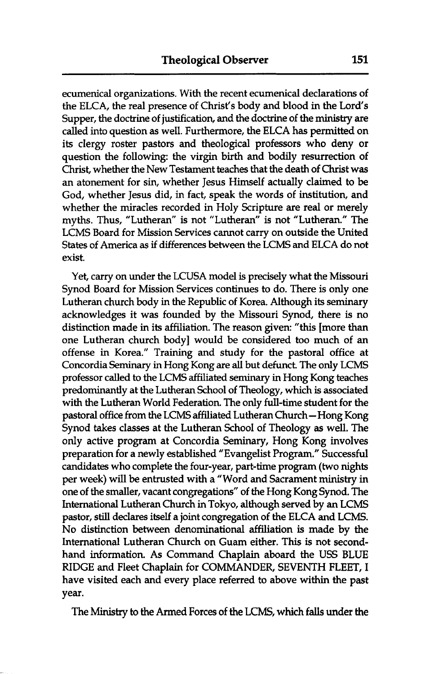ecumenical organizations. With the recent ecumenical declarations of the ELCA, the real presence of Christ's body and blood in the Lord's Supper, the doctrine of justification, and the doctrine of the **ministry** are called into question as well. Furthermore, the ELCA has permitted on its clergy roster pastors and theological professors who deny or question the following: the virgin birth and bodily resurrection of Christ, whether the New Testament teaches that the death of Christ was an atonement for sin, whether Jesus Himself actually claimed to be God, whether Jesus did, in fact, speak the words of institution, and whether the miracles recorded in Holy Scripture are real or merely myths. Thus, "Lutheran" is not "Lutheran" is not "Lutheran." The LCMS Board for Mission Services cannot carry on outside the United States of America as if differences between the LCMS and ELCA do not exist.

Yet, carry on under the LCUSA model is precisely what the Missouri Synod Board for Mission Services continues to do. There is only one Lutheran church body in the Republic of Korea. Although its seminary acknowledges it was founded by the Missouri Synod, there is no distinction made in its affiliation. The reason given: "this [more than one Lutheran church body] would be considered too much of an offense in Korea." Training and study for the pastoral office at Concordia Seminary in Hong Kong are all but defunct. The only LCMS professor called to the LCMS affiliated seminary in Hong Kong teaches predominantly at the Lutheran School of Theology, which is associated with the Lutheran World Federation. The only full-time student for the pastoral office from the LCMS affiliated Lutheran Church- Hong Kong Synod takes classes at the Lutheran School of Theology as well. The only active program at Concordia Seminary, Hong Kong involves preparation for a newly established "Evangelist Program." Successful candidates who complete the four-year, part-time program (two **nights**  per week) will be entrusted with a "Word and Sacrament ministry in one of the smaller, vacant congregations" of the Hong Kong Synod. The International Lutheran Church in Tokyo, although served by an LCMS pastor, still declares itself a joint congregation of the ELCA and LCMS. No distinction between denominational affiliation is made by the International Lutheran Church on Guam either. This is not secondhand information. As Command Chaplain aboard the **USS** BLUE RIDGE and Fleet Chaplain for COMMANDER, SEVENTH FLEET, I have visited each and every place referred to above within the past year.

The Ministry to the Armed Forces of the LCMS, which falls under the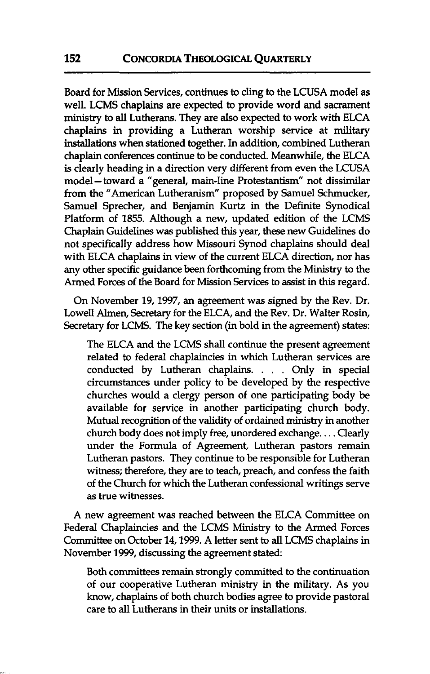Board for Mission Services, continues to cling to the LCUSA model as well. LCMS chaplains are expected to provide word and sacrament **ministry** to **all** Lutherans. They are also expected to work with ELCA chaplains in providing a Lutheran worship service at military installations when stationed together. In addition, combined Lutheran chaplain conferences continue to be conducted. Meanwhile, the ELCA is clearly heading in a direction very different from even the LCUSA model-toward a "general, main-line Protestantism" not dissimilar from the "American Lutheranism" proposed by Samuel Schmucker, Samuel Sprecher, and Benjamin Kurtz in the Definite Synodical Platform of 1855. Although a new, updated edition of the LCMS Chaplain Guidelines was published this year, these new Guidelines do not specifically address how Missouri Synod chaplains should deal with ELCA chaplains in view of the current ELCA direction, nor has any other specific guidance been forthcoming from the **Ministry** to the Armed Forces of the Board for Mission Services to assist in this regard.

On November 19,1997, an agreement was signed by the Rev. Dr. Lowell Alrnen, Secretary for the ELCA, and the Rev. Dr. Walter Rosin, Secretary for LCMS. The key section (in bold in the agreement) states:

The ELCA and the LCMS shall continue the present agreement related to federal chaplaincies in which Lutheran services are conducted by Lutheran chaplains. . . . Only in special circumstances under policy to be developed by the respective churches would a clergy person of one participating body be available for service in another participating church body. Mutual recognition of the validity of ordained **ministry** in another church body does not imply free, unordered exchange. . . . Clearly under the Formula of Agreement, Lutheran pastors remain Lutheran pastors. They continue to be responsible for Lutheran witness; therefore, they are to teach, preach, and confess the faith of the Church for which the Lutheran confessional writings serve as true witnesses.

A new agreement was reached between the ELCA Committee on Federal Chaplaincies and the LCMS Ministry to the Armed Forces Committee on October 14,1999. A letter sent to all LCMS chaplains in November 1999, discussing the agreement stated:

Both committees remain strongly committed to the continuation of our cooperative Lutheran ministry in the military. As you know, chaplains of both church bodies agree to provide pastoral care to **all** Lutherans in their units or installations.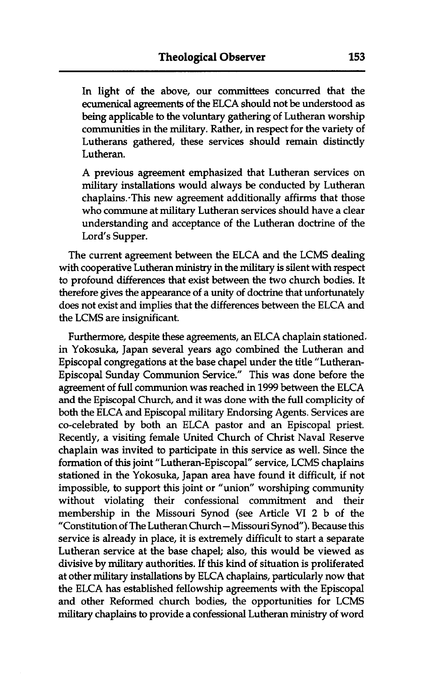In light of the above, our committees concurred that the ecumenical agreements of the ELCA should not be understood as being applicable to the voluntary gathering of Lutheran worship communities in the military. Rather, in respect for the variety of Lutherans gathered, these services should remain distinctly Lutheran.

A previous agreement emphasized that Lutheran services on military installations would always be conducted by Lutheran chaplains.-This new agreement additionally affirms that those who commune at military Lutheran services should have a clear understanding and acceptance of the Lutheran doctrine of the Lord's Supper.

The current agreement between the ELCA and the LCMS dealing with cooperative Lutheran **ministry** in the military is silent with respect to profound differences that exist between the two church bodies. It therefore gives the appearance of a unity of doctrine that unfortunately does not exist and implies that the differences between the ELCA and the LCMS are insignificant.

Furthermore, despite these agreements, an ELCA chaplain stationed. in Yokosuka, Japan several years ago combined the Lutheran and Episcopal congregations at the base chapel under the title "Lutheran-Episcopal Sunday Communion Service." This was done before the agreement of full communion was reached in 1999 between the ELCA and the Episcopal Church, and it was done with the full complicity of both the ELCA and Episcopal military Endorsing Agents. Services are co-celebrated by both an ELCA pastor and an Episcopal priest. Recently, a visiting female United Church of Christ Naval Reserve chaplain was invited to participate in this service as well. Since the formation of this joint "Lutheran-Episcopal" service, LCMS chaplains stationed in the Yokosuka, Japan area have found it difficult, if not impossible, to support this joint or "union" worshiping community without violating their confessional commitment and their membership in the Missouri Synod (see Article **VI** 2 b of the "Constitution of The Lutheran Church - Missouri Synod"). Because this service is already in place, it is extremely difficult to start a separate Lutheran service at the base chapel; also, this would be viewed as divisive by military authorities. If this kind of situation is proliferated at other military installations by ELCA chaplains, particularly now that the ELCA has established fellowship agreements with the Episcopal and other Reformed church bodies, the opportunities for LCMS military chaplains to provide a confessional Lutheran **ministry** of word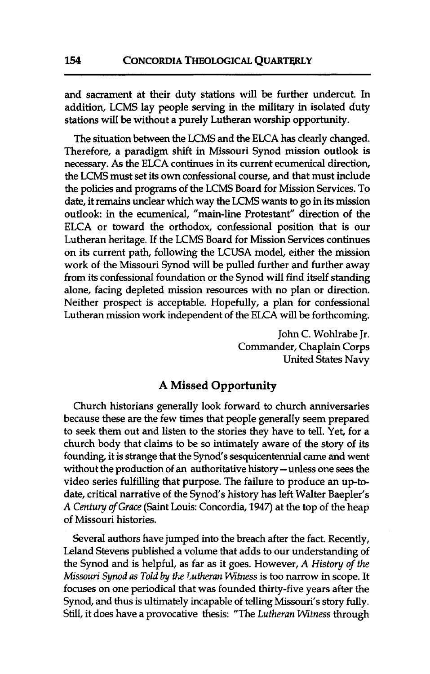and sacrament at their duty stations will be further undercut. In addition, LCMS lay people serving in the military in isolated duty stations will be without a purely Lutheran worship opportunity.

The situation between the LCMS and the ELCA has clearly changed. Therefore, a paradigm shift in Missouri Synod mission outlook is necessary. As the ELCA continues in its current ecumenical direction, the LCMS must set its own confessional course, and that must include the policies and programs of the LCMS Board for Mission Services. To date, it remains unclear which way the LCMS wants to go in its mission outlook: in the ecumenical, "main-line Protestant" direction of the ELCA or toward the orthodox, confessional position that is our Lutheran heritage. If the LCMS Board for Mission Services continues on its current path, following the LCUSA model, either the mission work of the Missouri Synod will be pulled further and further away from its confessional foundation or the Synod will find itself standing alone, facing depleted mission resources with no plan or direction. Neither prospect is acceptable. Hopefully, a plan for confessional Lutheran mission work independent of the ELCA will be forthcoming.

> John C. Wohlrabe Jr. Commander, Chaplain Corps United States Navy

## **A Missed Opportunity**

Church historians generally look forward to church anniversaries because these are the few times that people generally seem prepared to seek them out and listen to the stories they have to tell. Yet, for a church body that claims to be so intimately aware of the story of its founding, it is strange that the Synod's sesquicentennial came and went without the production of an authoritative history - unless one sees the video series fulfilling that purpose. The failure to produce an up-todate, critical narrative of the Synod's history has left Walter Baepler's A *Century of Grace* (Saint Louis: Concordia, 1947) at the top of the heap of Missouri histories.

Several authors have jumped into the breach after the fact. Recently, Leland Stevens published a volume that adds to our understanding of the Synod and is helpful, as far as it goes. However, A *History of the Missouri Synod as Told by the Lutheran Witness* is too narrow in scope. It focuses on one periodical that was founded thirty-five years after the Synod, and thus is ultimately incapable of telling Missouri's story fully. Still, it does have a provocative thesis: "The *Lutheran Witness* through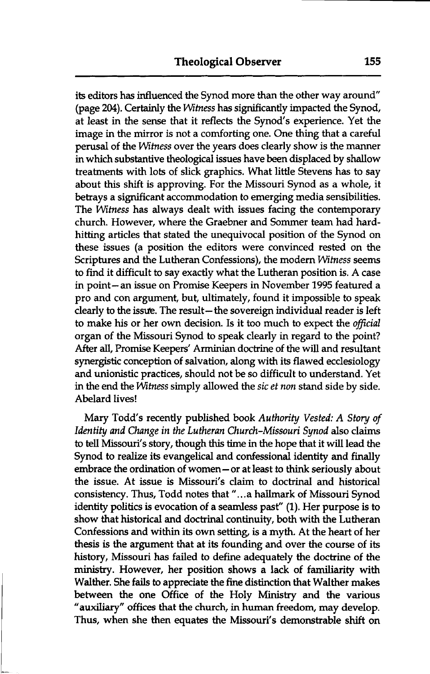its editors has influenced the Synod more than the other way around (page 204). Certaidy the *Witness* has sigruficantly impacted the Synod, at least in the sense that it reflects the Synod's experience. Yet the image in the mirror is not a comforting one. One thing that a careful perusal of the *Witness* over the years does clearly show is the manner in which substantive theological issues have been displaced by shallow treatments with lots of slick graphics. What little Stevens has to say about this shift is approving. For the Missouri Synod as a whole, it betrays a sigruficant accommodation to emerging media sensibilities. The *Witness* has always dealt with issues facing the contemporary church. However, where the Graebner and Sommer team had hardhitting articles that stated the unequivocal position of the Synod on these issues (a position the editors were convinced rested on the Scriptures and the Lutheran Confessions), the modem *Witness* seems to find it difficult to say exactly what the Lutheran position is. A case in point- an issue on Promise Keepers in November 1995 featured a pro and con argument, but, ultimately, found it impossible to speak clearly to the issue. The result-the sovereign individual reader is left to make his or her own decision. Is it too much to expect the *oficial*  organ of the Missouri Synod to speak clearly in regard to the point? After all, Promise Keepers' Arminian doctrine of the will and resultant synergistic conception of salvation, along with its flawed ecclesiology and unionistic practices, should not be so difficult to understand. Yet in the end the *Witness* simply allowed the *sic et non* stand side by side. Abelard lives!

Mary Todd's recently published book *Authority Vested: A Story of Identity and Change in the Lutheran Church-Missouri Synod* also claims to tell Missouri's story, though this time in the hope that it will lead the Synod to realize its evangelical and confessional identity and finally embrace the ordination of women- or at least to think seriously about the issue. At issue is Missouri's claim to doctrinal and historical consistency. Thus, Todd notes that "...a hallmark of Missouri Synod identity politics is evocation of a seamless past" (1). Her purpose is to show that historical and doctrinal continuity, both with the Lutheran Confessions and within its own setting, is a myth. At the heart of her thesis is the argument that at its founding and over the course of its history, Missouri has failed to define adequately the doctrine of the **ministry.** However, her position shows a lack of familiarity with Walther. She fails to appreciate the fine distinction that Walther makes between the one Office of the Holy **Ministry** and the various "auxiliary" offices that the church, in human freedom, may develop. Thus, when she then equates the Missouri's demonstrable shift on